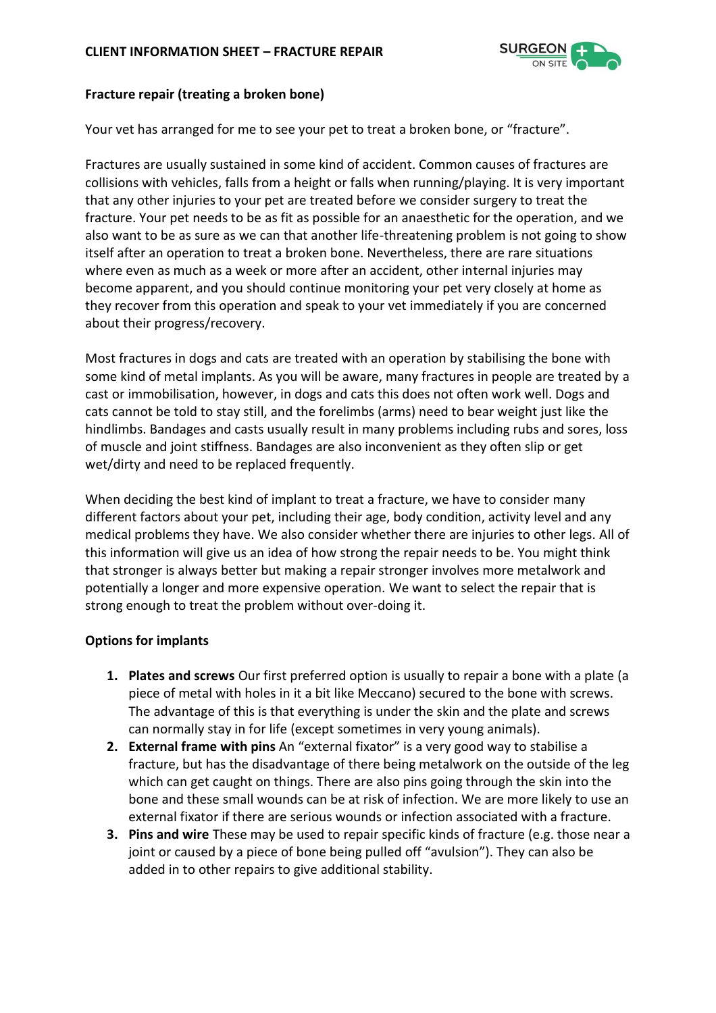

## **Fracture repair (treating a broken bone)**

Your vet has arranged for me to see your pet to treat a broken bone, or "fracture".

Fractures are usually sustained in some kind of accident. Common causes of fractures are collisions with vehicles, falls from a height or falls when running/playing. It is very important that any other injuries to your pet are treated before we consider surgery to treat the fracture. Your pet needs to be as fit as possible for an anaesthetic for the operation, and we also want to be as sure as we can that another life-threatening problem is not going to show itself after an operation to treat a broken bone. Nevertheless, there are rare situations where even as much as a week or more after an accident, other internal injuries may become apparent, and you should continue monitoring your pet very closely at home as they recover from this operation and speak to your vet immediately if you are concerned about their progress/recovery.

Most fractures in dogs and cats are treated with an operation by stabilising the bone with some kind of metal implants. As you will be aware, many fractures in people are treated by a cast or immobilisation, however, in dogs and cats this does not often work well. Dogs and cats cannot be told to stay still, and the forelimbs (arms) need to bear weight just like the hindlimbs. Bandages and casts usually result in many problems including rubs and sores, loss of muscle and joint stiffness. Bandages are also inconvenient as they often slip or get wet/dirty and need to be replaced frequently.

When deciding the best kind of implant to treat a fracture, we have to consider many different factors about your pet, including their age, body condition, activity level and any medical problems they have. We also consider whether there are injuries to other legs. All of this information will give us an idea of how strong the repair needs to be. You might think that stronger is always better but making a repair stronger involves more metalwork and potentially a longer and more expensive operation. We want to select the repair that is strong enough to treat the problem without over-doing it.

# **Options for implants**

- **1. Plates and screws** Our first preferred option is usually to repair a bone with a plate (a piece of metal with holes in it a bit like Meccano) secured to the bone with screws. The advantage of this is that everything is under the skin and the plate and screws can normally stay in for life (except sometimes in very young animals).
- **2. External frame with pins** An "external fixator" is a very good way to stabilise a fracture, but has the disadvantage of there being metalwork on the outside of the leg which can get caught on things. There are also pins going through the skin into the bone and these small wounds can be at risk of infection. We are more likely to use an external fixator if there are serious wounds or infection associated with a fracture.
- **3. Pins and wire** These may be used to repair specific kinds of fracture (e.g. those near a joint or caused by a piece of bone being pulled off "avulsion"). They can also be added in to other repairs to give additional stability.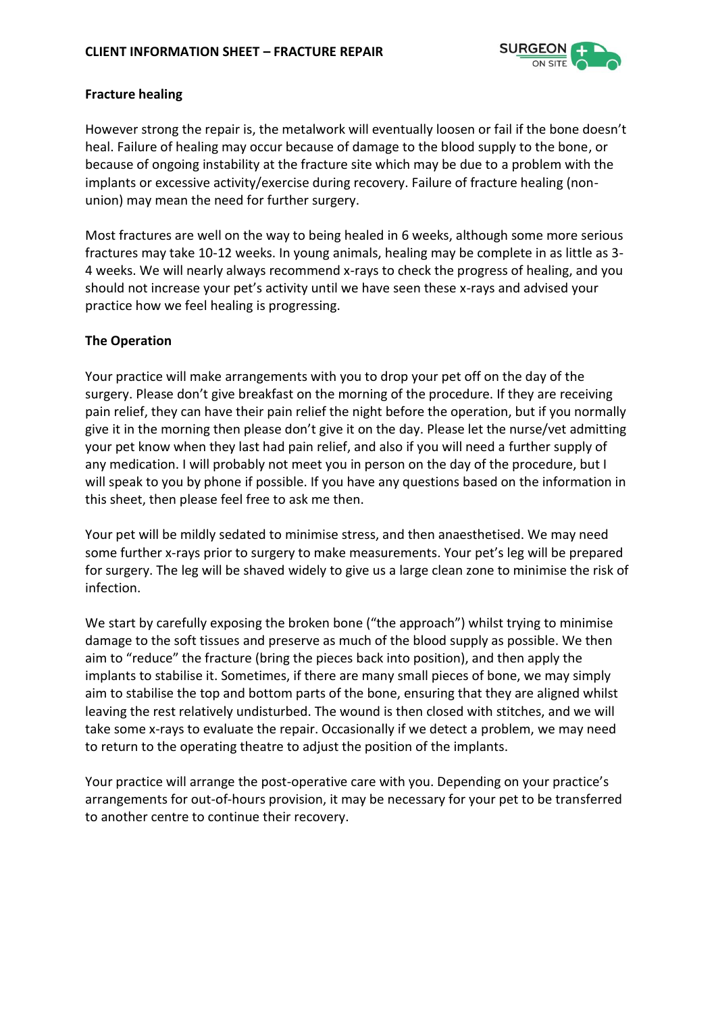

## **Fracture healing**

However strong the repair is, the metalwork will eventually loosen or fail if the bone doesn't heal. Failure of healing may occur because of damage to the blood supply to the bone, or because of ongoing instability at the fracture site which may be due to a problem with the implants or excessive activity/exercise during recovery. Failure of fracture healing (nonunion) may mean the need for further surgery.

Most fractures are well on the way to being healed in 6 weeks, although some more serious fractures may take 10-12 weeks. In young animals, healing may be complete in as little as 3- 4 weeks. We will nearly always recommend x-rays to check the progress of healing, and you should not increase your pet's activity until we have seen these x-rays and advised your practice how we feel healing is progressing.

# **The Operation**

Your practice will make arrangements with you to drop your pet off on the day of the surgery. Please don't give breakfast on the morning of the procedure. If they are receiving pain relief, they can have their pain relief the night before the operation, but if you normally give it in the morning then please don't give it on the day. Please let the nurse/vet admitting your pet know when they last had pain relief, and also if you will need a further supply of any medication. I will probably not meet you in person on the day of the procedure, but I will speak to you by phone if possible. If you have any questions based on the information in this sheet, then please feel free to ask me then.

Your pet will be mildly sedated to minimise stress, and then anaesthetised. We may need some further x-rays prior to surgery to make measurements. Your pet's leg will be prepared for surgery. The leg will be shaved widely to give us a large clean zone to minimise the risk of infection.

We start by carefully exposing the broken bone ("the approach") whilst trying to minimise damage to the soft tissues and preserve as much of the blood supply as possible. We then aim to "reduce" the fracture (bring the pieces back into position), and then apply the implants to stabilise it. Sometimes, if there are many small pieces of bone, we may simply aim to stabilise the top and bottom parts of the bone, ensuring that they are aligned whilst leaving the rest relatively undisturbed. The wound is then closed with stitches, and we will take some x-rays to evaluate the repair. Occasionally if we detect a problem, we may need to return to the operating theatre to adjust the position of the implants.

Your practice will arrange the post-operative care with you. Depending on your practice's arrangements for out-of-hours provision, it may be necessary for your pet to be transferred to another centre to continue their recovery.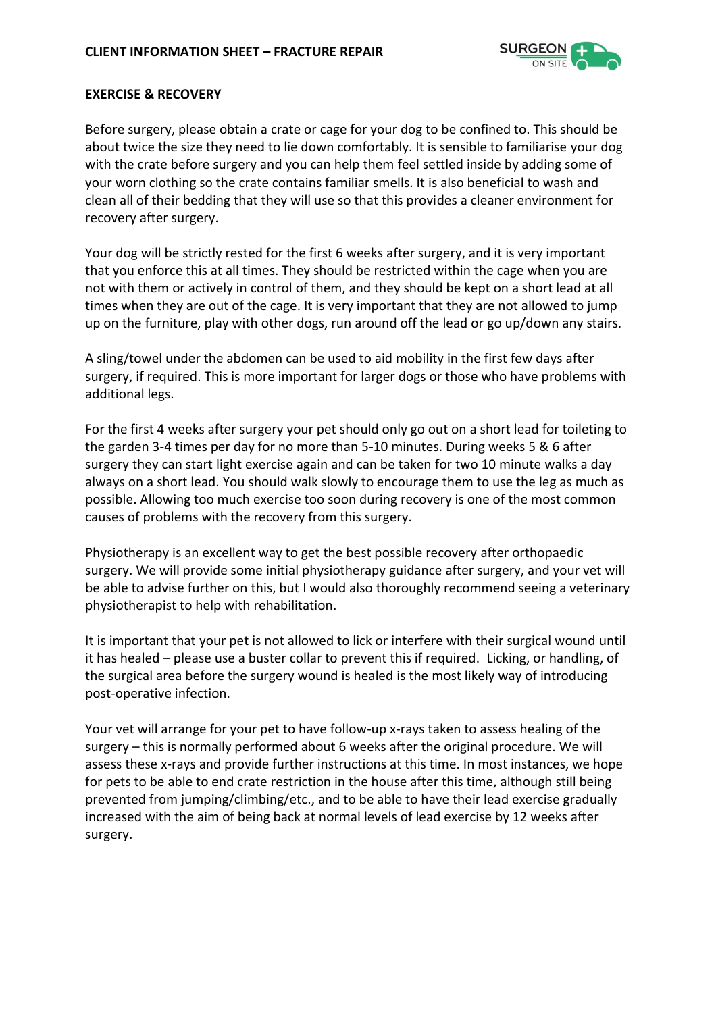

#### **EXERCISE & RECOVERY**

Before surgery, please obtain a crate or cage for your dog to be confined to. This should be about twice the size they need to lie down comfortably. It is sensible to familiarise your dog with the crate before surgery and you can help them feel settled inside by adding some of your worn clothing so the crate contains familiar smells. It is also beneficial to wash and clean all of their bedding that they will use so that this provides a cleaner environment for recovery after surgery.

Your dog will be strictly rested for the first 6 weeks after surgery, and it is very important that you enforce this at all times. They should be restricted within the cage when you are not with them or actively in control of them, and they should be kept on a short lead at all times when they are out of the cage. It is very important that they are not allowed to jump up on the furniture, play with other dogs, run around off the lead or go up/down any stairs.

A sling/towel under the abdomen can be used to aid mobility in the first few days after surgery, if required. This is more important for larger dogs or those who have problems with additional legs.

For the first 4 weeks after surgery your pet should only go out on a short lead for toileting to the garden 3-4 times per day for no more than 5-10 minutes. During weeks 5 & 6 after surgery they can start light exercise again and can be taken for two 10 minute walks a day always on a short lead. You should walk slowly to encourage them to use the leg as much as possible. Allowing too much exercise too soon during recovery is one of the most common causes of problems with the recovery from this surgery.

Physiotherapy is an excellent way to get the best possible recovery after orthopaedic surgery. We will provide some initial physiotherapy guidance after surgery, and your vet will be able to advise further on this, but I would also thoroughly recommend seeing a veterinary physiotherapist to help with rehabilitation.

It is important that your pet is not allowed to lick or interfere with their surgical wound until it has healed – please use a buster collar to prevent this if required. Licking, or handling, of the surgical area before the surgery wound is healed is the most likely way of introducing post-operative infection.

Your vet will arrange for your pet to have follow-up x-rays taken to assess healing of the surgery – this is normally performed about 6 weeks after the original procedure. We will assess these x-rays and provide further instructions at this time. In most instances, we hope for pets to be able to end crate restriction in the house after this time, although still being prevented from jumping/climbing/etc., and to be able to have their lead exercise gradually increased with the aim of being back at normal levels of lead exercise by 12 weeks after surgery.